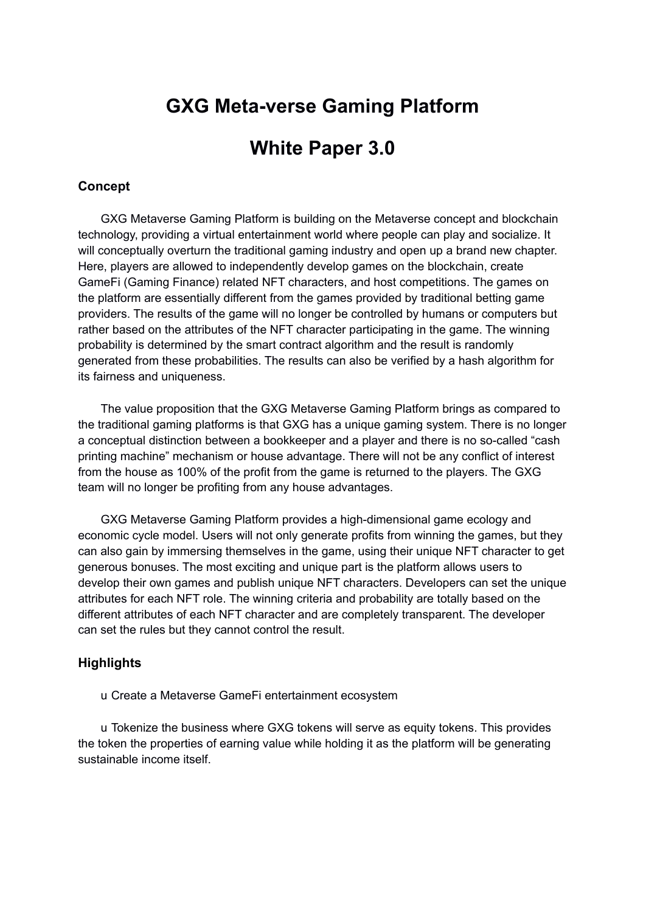# **GXG Meta-verse Gaming Platform**

# **White Paper 3.0**

## **Concept**

GXG Metaverse Gaming Platform is building on the Metaverse concept and blockchain technology, providing a virtual entertainment world where people can play and socialize. It will conceptually overturn the traditional gaming industry and open up a brand new chapter. Here, players are allowed to independently develop games on the blockchain, create GameFi (Gaming Finance) related NFT characters, and host competitions. The games on the platform are essentially different from the games provided by traditional betting game providers. The results of the game will no longer be controlled by humans or computers but rather based on the attributes of the NFT character participating in the game. The winning probability is determined by the smart contract algorithm and the result is randomly generated from these probabilities. The results can also be verified by a hash algorithm for its fairness and uniqueness.

The value proposition that the GXG Metaverse Gaming Platform brings as compared to the traditional gaming platforms is that GXG has a unique gaming system. There is no longer a conceptual distinction between a bookkeeper and a player and there is no so-called "cash printing machine" mechanism or house advantage. There will not be any conflict of interest from the house as 100% of the profit from the game is returned to the players. The GXG team will no longer be profiting from any house advantages.

GXG Metaverse Gaming Platform provides a high-dimensional game ecology and economic cycle model. Users will not only generate profits from winning the games, but they can also gain by immersing themselves in the game, using their unique NFT character to get generous bonuses. The most exciting and unique part is the platform allows users to develop their own games and publish unique NFT characters. Developers can set the unique attributes for each NFT role. The winning criteria and probability are totally based on the different attributes of each NFT character and are completely transparent. The developer can set the rules but they cannot control the result.

#### **Highlights**

u Create a Metaverse GameFi entertainment ecosystem

u Tokenize the business where GXG tokens will serve as equity tokens. This provides the token the properties of earning value while holding it as the platform will be generating sustainable income itself.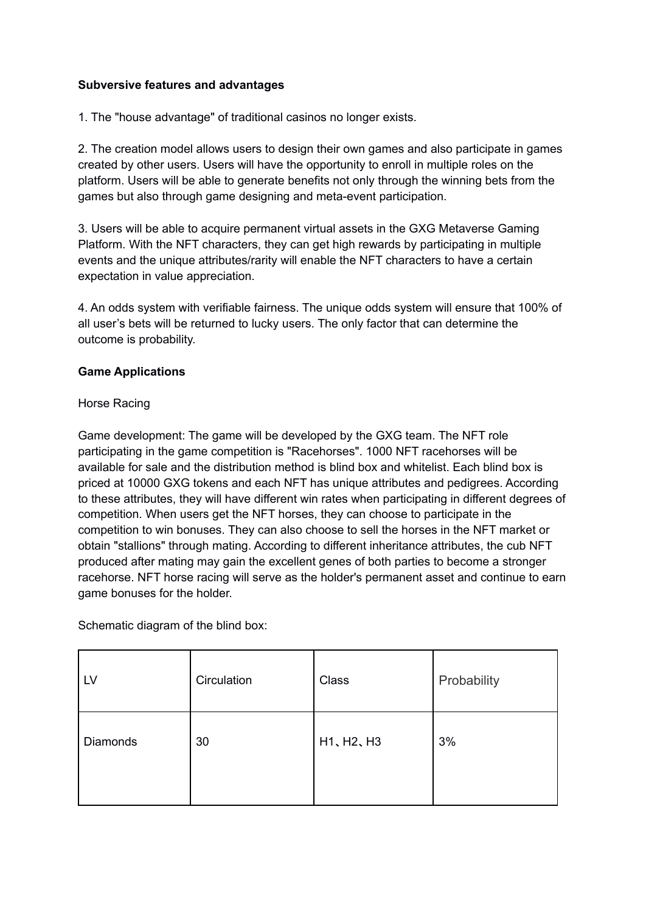## **Subversive features and advantages**

1. The "house advantage" of traditional casinos no longer exists.

2. The creation model allows users to design their own games and also participate in games created by other users. Users will have the opportunity to enroll in multiple roles on the platform. Users will be able to generate benefits not only through the winning bets from the games but also through game designing and meta-event participation.

3. Users will be able to acquire permanent virtual assets in the GXG Metaverse Gaming Platform. With the NFT characters, they can get high rewards by participating in multiple events and the unique attributes/rarity will enable the NFT characters to have a certain expectation in value appreciation.

4. An odds system with verifiable fairness. The unique odds system will ensure that 100% of all user's bets will be returned to lucky users. The only factor that can determine the outcome is probability.

## **Game Applications**

## Horse Racing

Game development: The game will be developed by the GXG team. The NFT role participating in the game competition is "Racehorses". 1000 NFT racehorses will be available for sale and the distribution method is blind box and whitelist. Each blind box is priced at 10000 GXG tokens and each NFT has unique attributes and pedigrees. According to these attributes, they will have different win rates when participating in different degrees of competition. When users get the NFT horses, they can choose to participate in the competition to win bonuses. They can also choose to sell the horses in the NFT market or obtain "stallions" through mating. According to different inheritance attributes, the cub NFT produced after mating may gain the excellent genes of both parties to become a stronger racehorse. NFT horse racing will serve as the holder's permanent asset and continue to earn game bonuses for the holder.

Schematic diagram of the blind box:

| LV       | Circulation | Class      | Probability |
|----------|-------------|------------|-------------|
| Diamonds | 30          | H1, H2, H3 | 3%          |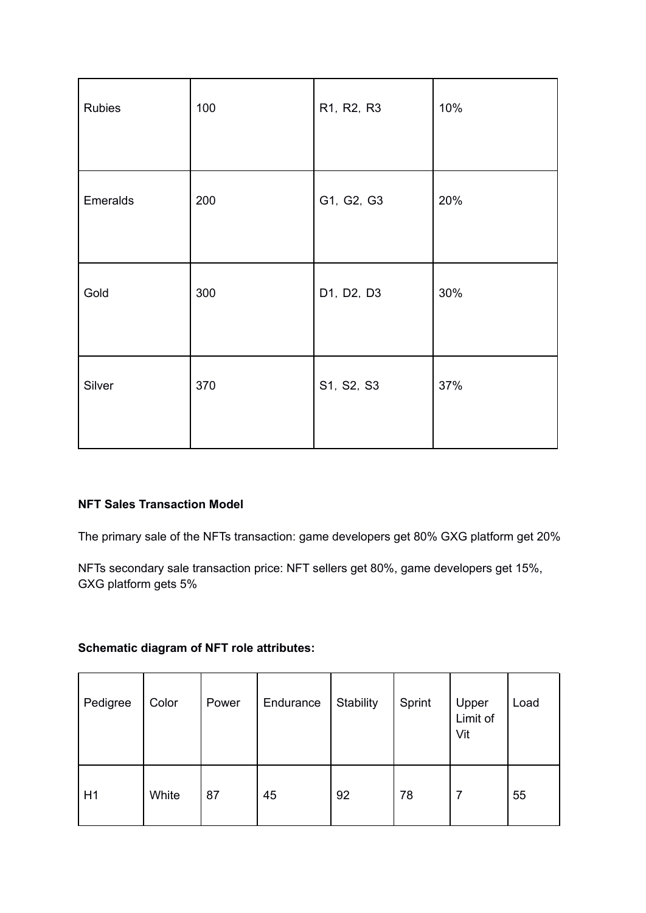| Rubies   | 100 | R1, R2, R3 | 10% |
|----------|-----|------------|-----|
| Emeralds | 200 | G1, G2, G3 | 20% |
| Gold     | 300 | D1, D2, D3 | 30% |
| Silver   | 370 | S1, S2, S3 | 37% |

## **NFT Sales Transaction Model**

The primary sale of the NFTs transaction: game developers get 80% GXG platform get 20%

NFTs secondary sale transaction price: NFT sellers get 80%, game developers get 15%, GXG platform gets 5%

# **Schematic diagram of NFT role attributes:**

| Pedigree | Color | Power | Endurance | Stability | Sprint | Upper<br>Limit of<br>Vit | Load |
|----------|-------|-------|-----------|-----------|--------|--------------------------|------|
| H1       | White | 87    | 45        | 92        | 78     |                          | 55   |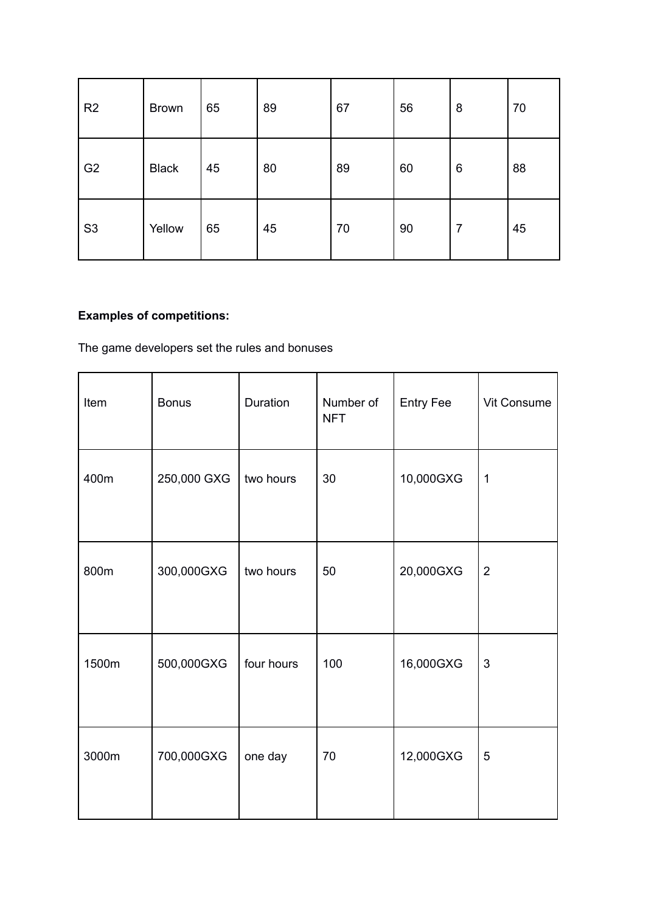| R <sub>2</sub> | <b>Brown</b> | 65 | 89 | 67 | 56 | 8 | 70 |
|----------------|--------------|----|----|----|----|---|----|
| G <sub>2</sub> | <b>Black</b> | 45 | 80 | 89 | 60 | 6 | 88 |
| S <sub>3</sub> | Yellow       | 65 | 45 | 70 | 90 | 7 | 45 |

# **Examples of competitions:**

The game developers set the rules and bonuses

| Item  | <b>Bonus</b> | Duration   | Number of<br><b>NFT</b> | <b>Entry Fee</b> | Vit Consume    |
|-------|--------------|------------|-------------------------|------------------|----------------|
| 400m  | 250,000 GXG  | two hours  | 30                      | 10,000GXG        | $\mathbf 1$    |
| 800m  | 300,000GXG   | two hours  | 50                      | 20,000GXG        | $\overline{2}$ |
| 1500m | 500,000GXG   | four hours | 100                     | 16,000GXG        | $\mathfrak{S}$ |
| 3000m | 700,000GXG   | one day    | 70                      | 12,000GXG        | $\overline{5}$ |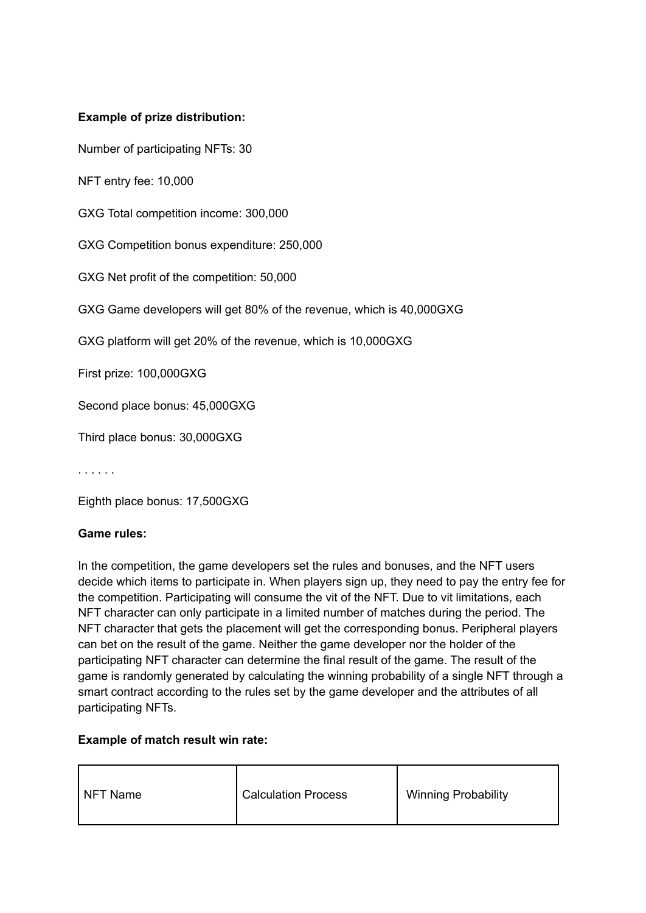## **Example of prize distribution:**

Number of participating NFTs: 30

NFT entry fee: 10,000

GXG Total competition income: 300,000

GXG Competition bonus expenditure: 250,000

GXG Net profit of the competition: 50,000

GXG Game developers will get 80% of the revenue, which is 40,000GXG

GXG platform will get 20% of the revenue, which is 10,000GXG

First prize: 100,000GXG

Second place bonus: 45,000GXG

Third place bonus: 30,000GXG

. . . . . .

Eighth place bonus: 17,500GXG

#### **Game rules:**

In the competition, the game developers set the rules and bonuses, and the NFT users decide which items to participate in. When players sign up, they need to pay the entry fee for the competition. Participating will consume the vit of the NFT. Due to vit limitations, each NFT character can only participate in a limited number of matches during the period. The NFT character that gets the placement will get the corresponding bonus. Peripheral players can bet on the result of the game. Neither the game developer nor the holder of the participating NFT character can determine the final result of the game. The result of the game is randomly generated by calculating the winning probability of a single NFT through a smart contract according to the rules set by the game developer and the attributes of all participating NFTs.

#### **Example of match result win rate:**

| NFT Name | <b>Calculation Process</b> | <b>Winning Probability</b> |
|----------|----------------------------|----------------------------|
|----------|----------------------------|----------------------------|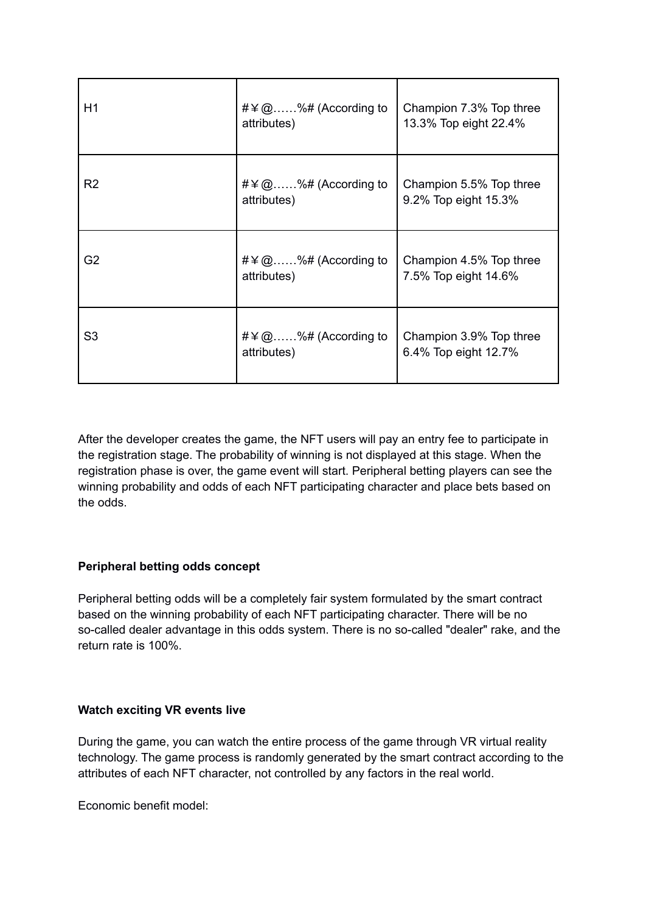| H1             | #\ampmass $\#$ \angle $\#$ \angle $\#$ \angle $\#$ \angle $\#$ \angle $\#$ \angle $\#$ \angle $\#$ \angle $\#$ \angle $\#$ \angle $\#$ \angle $\#$ \angle $\#$ \angle $\#$ \angle $\#$ \angle $\#$ \angle $\#$ \angle $\#$ \a<br>attributes) | Champion 7.3% Top three<br>13.3% Top eight 22.4% |
|----------------|----------------------------------------------------------------------------------------------------------------------------------------------------------------------------------------------------------------------------------------------|--------------------------------------------------|
| R <sub>2</sub> | #\ampmass $\#$ \angle $\#$ \angle $\#$ \angle $\#$ \angle $\#$ \angle $\#$ \angle $\#$ \angle $\#$ \angle $\#$ \angle $\#$ \angle $\#$ \angle $\#$ \angle $\#$ \angle $\#$ \angle $\#$ \angle $\#$ \angle $\#$ \angle $\#$ \a<br>attributes) | Champion 5.5% Top three<br>9.2% Top eight 15.3%  |
| G <sub>2</sub> | #\ampmass $\#$ \angle $\#$ \angle $\#$ \angle $\#$ \angle $\#$ \angle $\#$ \angle $\#$ \angle $\#$ \angle $\#$ \angle $\#$ \angle $\#$ \angle $\#$ \angle $\#$ \angle $\#$ \angle $\#$ \angle $\#$ \angle $\#$ \angle $\#$ \a<br>attributes) | Champion 4.5% Top three<br>7.5% Top eight 14.6%  |
| S <sub>3</sub> | #\ampmass $\#$ \angle $\#$ \angle $\#$ \angle $\#$ \angle $\#$ \angle $\#$ \angle $\#$ \angle $\#$ \angle $\#$ \angle $\#$ \angle $\#$ \angle $\#$ \angle $\#$ \angle $\#$ \angle $\#$ \angle $\#$ \angle $\#$ \angle $\#$ \a<br>attributes) | Champion 3.9% Top three<br>6.4% Top eight 12.7%  |

After the developer creates the game, the NFT users will pay an entry fee to participate in the registration stage. The probability of winning is not displayed at this stage. When the registration phase is over, the game event will start. Peripheral betting players can see the winning probability and odds of each NFT participating character and place bets based on the odds.

## **Peripheral betting odds concept**

Peripheral betting odds will be a completely fair system formulated by the smart contract based on the winning probability of each NFT participating character. There will be no so-called dealer advantage in this odds system. There is no so-called "dealer" rake, and the return rate is 100%.

## **Watch exciting VR events live**

During the game, you can watch the entire process of the game through VR virtual reality technology. The game process is randomly generated by the smart contract according to the attributes of each NFT character, not controlled by any factors in the real world.

Economic benefit model: